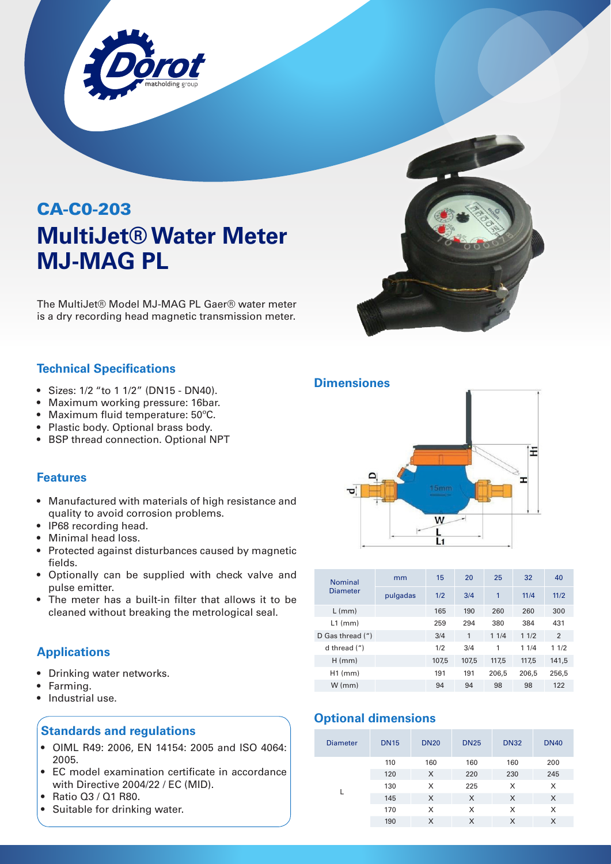

# CA-C0-203 **MultiJet® Water Meter MJ-MAG PL**

The MultiJet® Model MJ-MAG PL Gaer® water meter is a dry recording head magnetic transmission meter.

## **Technical Specifications**

- Sizes: 1/2 "to 1 1/2" (DN15 DN40).
- Maximum working pressure: 16bar.
- Maximum fluid temperature: 50ºC.
- Plastic body. Optional brass body.
- BSP thread connection. Optional NPT

#### **Features**

- Manufactured with materials of high resistance and quality to avoid corrosion problems.
- IP68 recording head.
- Minimal head loss.
- Protected against disturbances caused by magnetic fields.
- Optionally can be supplied with check valve and pulse emitter.
- The meter has a built-in filter that allows it to be cleaned without breaking the metrological seal.

## **Applications**

- Drinking water networks.
- Farming.
- Industrial use.

## **Standards and regulations**

- OIML R49: 2006, EN 14154: 2005 and ISO 4064: 2005.
- EC model examination certificate in accordance with Directive 2004/22 / EC (MID).
- Ratio Q3 / Q1 R80.
- Suitable for drinking water.

### **Dimensiones**



| <b>Nominal</b><br>Diameter    | mm       | 15    | 20    | 25    | 32    | 40    |
|-------------------------------|----------|-------|-------|-------|-------|-------|
|                               | pulgadas | 1/2   | 3/4   | 1     | 11/4  | 11/2  |
| $L$ (mm)                      |          | 165   | 190   | 260   | 260   | 300   |
| $L1$ (mm)                     |          | 259   | 294   | 380   | 384   | 431   |
| D Gas thread $($ <i>"</i> $)$ |          | 3/4   | 1     | 11/4  | 11/2  | 2     |
| d thread $($ <i>"</i> $)$     |          | 1/2   | 3/4   | 1     | 11/4  | 11/2  |
| $H$ (mm)                      |          | 107,5 | 107,5 | 117,5 | 117,5 | 141,5 |
| $H1$ (mm)                     |          | 191   | 191   | 206.5 | 206.5 | 256,5 |
| $W \, (mm)$                   |          | 94    | 94    | 98    | 98    | 122   |

## **Optional dimensions**

| <b>Diameter</b> | <b>DN15</b> | <b>DN20</b> | <b>DN25</b> | <b>DN32</b> | <b>DN40</b> |
|-----------------|-------------|-------------|-------------|-------------|-------------|
|                 | 110         | 160         | 160         | 160         | 200         |
|                 | 120         | X           | 220         | 230         | 245         |
|                 | 130         | X           | 225         | X           | X           |
|                 | 145         | X           | X           | X           | X           |
|                 | 170         | X           | X           | X           | X           |
|                 | 190         | X           | X           | X           | X           |
|                 |             |             |             |             |             |